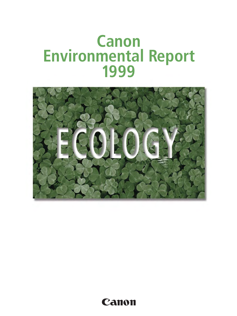# **Canon Environmental Report 1999**



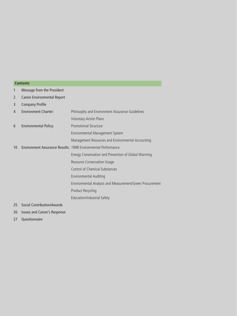#### **Contents**

- 1 Message from the President
- 2 Canon Environmental Report
- 3 Company Profile

| $\overline{4}$ | <b>Environment Charter:</b>  | Philosophy and Environment Assurance Guidelines                      |
|----------------|------------------------------|----------------------------------------------------------------------|
|                |                              | <b>Voluntary Action Plans</b>                                        |
| 6              | <b>Environmental Policy:</b> | Promotional Structure                                                |
|                |                              | Environmental Management System                                      |
|                |                              | Management Resources and Environmental Accounting                    |
| 10             |                              | <b>Environment Assurance Results: 1998 Environmental Performance</b> |
|                |                              | Energy Conservation and Prevention of Global Warming                 |
|                |                              | Resource Conservation Usage                                          |
|                |                              | Control of Chemical Substances                                       |
|                |                              | <b>Environmental Auditing</b>                                        |
|                |                              | Environmental Analysis and Measurement/Green Procurement             |
|                |                              | <b>Product Recycling</b>                                             |
|                |                              | Education/Industrial Safety                                          |
|                |                              |                                                                      |

25 Social Contribution/Awards

- 26 Issues and Canon's Response
- 27 Questionnaire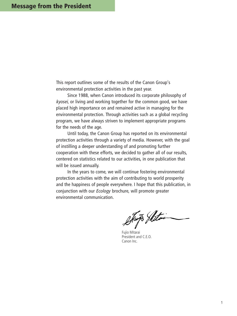This report outlines some of the results of the Canon Group's environmental protection activities in the past year.

Since 1988, when Canon introduced its corporate philosophy of kyosei, or living and working together for the common good, we have placed high importance on and remained active in managing for the environmental protection. Through activities such as a global recycling program, we have always striven to implement appropriate programs for the needs of the age.

Until today, the Canon Group has reported on its environmental protection activities through a variety of media. However, with the goal of instilling a deeper understanding of and promoting further cooperation with these efforts, we decided to gather all of our results, centered on statistics related to our activities, in one publication that will be issued annually.

In the years to come, we will continue fostering environmental protection activities with the aim of contributing to world prosperity and the happiness of people everywhere. I hope that this publication, in conjunction with our Ecology brochure, will promote greater environmental communication.

Stup Shitois

Fujio Mitarai President and C.E.O. Canon Inc.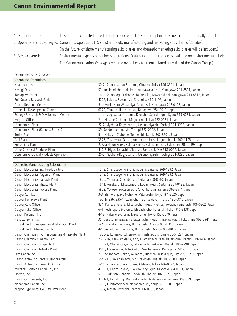# **Canon Environmental Report**

1. Duration of report: This report is compiled based on data collected in1998. Canon plans to issue the report annually from 1999. 2. Operational sites surveyed: Canon Inc. operations (15 sites) and R&D, manufacturing and marketing subsidiaries (25 sites) (In the future, offshore manufacturing subsidiaries and domestic marketing subsidiaries will be included.) 3. Areas covered: Environmental aspects of business operations (Data concerning products is available on environmental labels. The Canon publication *Ecology* covers the overall environment-related activities of the Canon Group.)

#### Operational Sites Surveyed

| Canon Inc. Operations                  |                                                                             |
|----------------------------------------|-----------------------------------------------------------------------------|
| Headquarters                           | 30-2, Shimomaruko 3-chome, Ohta-ku, Tokyo 146-8501, Japan                   |
| Kosugi Office                          | 53, Imaikami-cho, Nakahara-ku, Kawasaki-shi, Kanagawa 211-8501, Japan       |
| Tamagawa Plant                         | 16-1, Shimonoge 3-chome, Takatsu-ku, Kawasaki-shi, Kanagawa 213-8512, Japan |
| Fuji-Susono Research Park              | 4202, Fukara, Susono-shi, Shizuoka, 410-1196, Japan                         |
| Canon Research Center                  | 5-1, Morinosato-Wakamiya, Atsugi-shi, Kanagawa 243-0193, Japan              |
| Hiratsuka Development Center           | 6770, Tamura, Hiratsuka-shi, Kanagawa 254-0013, Japan                       |
| Ecology Research & Development Center  | 1-1, Kizugawadai 4-chome, Kizu-cho, Souraku-gun, Kyoto 619-0281, Japan      |
| Meguro Office                          | 2-1, Nakane 2-chome, Meguro-ku, Tokyo 152-0031, Japan                       |
| Utsunomiya Plant                       | 22-2, Kiyohara-Kogyodanchi, Utsunomiya-shi, Tochigi 321-3293, Japan         |
| Utsunomiya Plant (Kanuma Branch)       | 39, Sendo, Kanuma-shi, Tochigi 322-0002, Japan                              |
| Toride Plant                           | 5-1, Hakusan 7-chome, Toride-shi, Ibaraki 302-8501, Japan                   |
| Ami Plant                              | 3577, Yoshiwara, Ohaza, Ami-machi, Inashiki-gun, Ibaraki 300-1195, Japan    |
| Fukushima Plant                        | 2, Aza Nihon-Enoki, Sakura-shimo, Fukushima-shi, Fukushima 960-2193, Japan  |
| Ueno Chemical Products Plant           | 410-7, Higashiomachi, Mita-aza, Ueno-shi, Mie 518-0022, Japan               |
| Utsunomiya Optical Products Operations | 20-2, Kiyohara-Kogyodanchi, Utsunomiya-shi, Tochigi 321-3292, Japan         |

#### Domestic Manufacturing Subsidiaries

| Canon Electronics Inc. Headquarters               | 1248, Shimokagemori, Chichibu-shi, Saitama 369-1892, Japan                         |
|---------------------------------------------------|------------------------------------------------------------------------------------|
| Canon Electronics Kagemori Plant                  | 1248, Shimokagemori, Chichibu-shi, Saitama 369-1892, Japan                         |
| Canon Electronics Yamada Plant                    | 1826, Yamada, Chichibu-shi, Saitama 368-8510, Japan                                |
| Canon Electronics Misato Plant                    | 1611, Amakasu, Misatomachi, Kodama-gun, Saitama 367-0192, Japan                    |
| Canon Electronics Yokose Plant                    | 5852, Yokose, Yokosemachi, Chichibu-gun, Saitama 368-8511, Japan                   |
| Copyer Co., Ltd.                                  | 3-3, Shimorenjyaku 6-chome, Mitaka-shi, Tokyo 181-8520, Japan                      |
| Copyer Tachikawa Plant                            | Tachihi 236, 935-1, Izumi-cho, Tachikawa-shi, Tokyo 190-0015, Japan                |
| Copyer Kofu Office                                | 831, Kanegawahara, Misaka-cho, Higashi-yatsushiro-gun, Yamanashi 406-0802, Japan   |
| Copyer Fukui Office                               | 6-4, Technoport 3-chome, Ishibashi-cho, Fukui-shi, Fukui 910-3138, Japan           |
| Canon Precision Inc.                              | 4-19, Nakane 2-chome, Meguro-ku, Tokyo 152-8570, Japan                             |
| Hanawa Seiki, Inc.                                | 35, Daijuku Sekisawa, Hanawamachi, Higashishirakawa-gun, Fukushima 963-5341, Japan |
| Hirosaki Seiki Headquarters & Ishiwatari Plant    | 5-2, Ishiwatari 3-chome, Hirosaki-shi, Aomori 036-8316, Japan                      |
| Hirosaki Seiki Kitawatoku Plant                   | 4-1, Seinofukuro 5-chome, Hirosaki-shi, Aomori 036-8072, Japan                     |
| Canon Chemicals Inc. Headquarters & Tsukuba Plant | 1888-2, Kukizaki, Kukizaki-cho, Inashiki-gun, Ibaraki 300-1294, Japan              |
| Canon Chemicals Iwama Plant                       | 2600-36, Aza-kamidaira, Ago, Iwamamachi, Nishiibaraki-gun, Ibaraki 319-0206, Japan |
| Canon Chemicals Ishige Plant                      | 1460-1, Ohaza-sugiyama, Ishigemachi, Yuki-gun, Ibaraki 300-2798, Japan             |
| Canon Chemicals Totsuka Plant                     | 3543, Maioka-cho, Totsuka-ku, Yokohama-shi, Kanagawa 244-0813, Japan               |
| Oita Canon Inc.                                   | 710, Shimohara Nakao, Akimachi, Higashikunisaki-gun, Oita 873-0292, Japan          |
| Canon Aptex Inc. Ibaraki Headquarters             | 5540-11, Sakaidemachi, Mitsukaido-shi, Ibaraki 303-8503, Japan                     |
| Canon Aptex Shimomaruko Office                    | 5-15, Shimomaruko 2-chome, Ohta-ku, Tokyo 146-0092, Japan                          |
| Miyazaki Daishin Canon Co., Ltd.                  | 4308-1, Ohaza Takajo, Kijo-cho, Koyu-gun, Miyazaki 884-0101, Japan                 |
| Optron, Inc.                                      | 5-16, Hakusan 7-chome, Toride-shi, Ibaraki 302-0023, Japan                         |
| Canon Components, Inc.                            | 3461-1, Nanahongi, Kamisatomachi, Kodama-gun, Saitama 369-0393, Japan              |
| Nagahama Canon, Inc.                              | 1280, Kunitomomachi, Nagahama-shi, Shiga 526-0001, Japan                           |
| Nippon Typewriter Co., Ltd. Iwai Plant            | 1234, Matate, Iwai-shi, Ibaraki 306-0605, Japan                                    |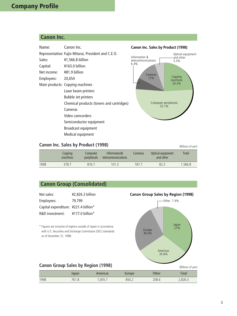# **Company Profile**

## **Canon Inc.**

| Name:       | Canon Inc.                                          | Canon Inc. Sales by Product (1998)              |
|-------------|-----------------------------------------------------|-------------------------------------------------|
|             | Representative: Fujio Mitarai, President and C.E.O. | Optical equipment<br>Information &<br>and other |
| Sales:      | ¥1,566.8 billion                                    | telecommunications<br>5.3%                      |
| Capital:    | ¥163.0 billion                                      | 6.4%                                            |
| Net income: | ¥81.9 billion                                       | Cameras                                         |
| Employees:  | 20,654                                              | Copying<br>12%<br>machines                      |
|             | Main products: Copying machines                     | 24.2%                                           |
|             | Laser beam printers                                 |                                                 |
|             | <b>Bubble Jet printers</b>                          |                                                 |
|             | Chemical products (toners and cartridges)           | Computer peripherals<br>52.1%                   |
|             | Cameras                                             |                                                 |
|             | Video camcorders                                    |                                                 |
|             | Semiconductor equipment                             |                                                 |
|             | <b>Broadcast equipment</b>                          |                                                 |
|             | Medical equipment                                   |                                                 |

## **Canon Inc. Sales by Product (1998)** (Billions of yen)

|      | Copying<br>machines | Computer<br>peripherals | Information&<br>telecommunications | Cameras | Optical equipment<br>and other | Total   |
|------|---------------------|-------------------------|------------------------------------|---------|--------------------------------|---------|
| 1998 | 378.7               | 816.7                   | 101.3                              | 187.7   | 82.3                           | 1.566.8 |

# **Canon Group (Consolidated)**

| ¥2,826.3 billion                     |
|--------------------------------------|
| 79.799                               |
| Capital expenditure: ¥221.4 billion* |
| $4177.0$ billion*                    |
|                                      |

\* Figures are inclusive of regions outside of Japan in accordance with U.S. Securities and Exchange Commission (SEC) standards as of December 31, 1998.

#### **Canon Group Sales by Region (1998)**



|      | Japan | Americas | Europe | Other | `otal  |
|------|-------|----------|--------|-------|--------|
| 1998 | 761.8 | .005.7   | 850.2  | 208.6 | ,826.3 |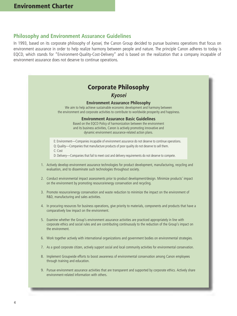#### **Philosophy and Environment Assurance Guidelines**

In 1993, based on its corporate philosophy of kyosei, the Canon Group decided to pursue business operations that focus on environment assurance in order to help realize harmony between people and nature. The principle Canon adheres to today is EQCD, which stands for "Environment-Quality-Cost-Delivery" and is based on the realization that a company incapable of environment assurance does not deserve to continue operations.

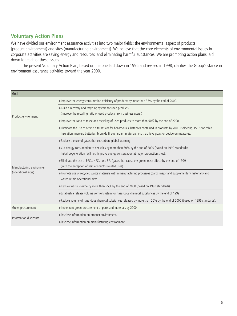## **Voluntary Action Plans**

We have divided our environment assurance activities into two major fields: the environmental aspect of products (product environment) and sites (manufacturing environment). We believe that the core elements of environmental issues in corporate activities are saving energy and resources, and eliminating harmful substances. We are promoting action plans laid down for each of these issues.

The present Voluntary Action Plan, based on the one laid down in 1996 and revised in 1998, clarifies the Group's stance in environment assurance activities toward the year 2000.

| Goal                      |                                                                                                                               |  |  |
|---------------------------|-------------------------------------------------------------------------------------------------------------------------------|--|--|
|                           | . Improve the energy consumption efficiency of products by more than 35% by the end of 2000.                                  |  |  |
|                           | . Build a recovery and recycling system for used products.                                                                    |  |  |
| Product environment       | (Improve the recycling ratio of used products from business users.)                                                           |  |  |
|                           | • Improve the ratio of reuse and recycling of used products to more than 90% by the end of 2000.                              |  |  |
|                           | . Eliminate the use of or find alternatives for hazardous substances contained in products by 2000 (soldering, PVCs for cable |  |  |
|                           | insulation, mercury batteries, bromide fire-retardant materials, etc.); achieve goals or decide on measures.                  |  |  |
|                           | . Reduce the use of gases that exacerbate global warming.                                                                     |  |  |
|                           | • Cut energy consumption to net sales by more than 30% by the end of 2000 (based on 1990 standards;                           |  |  |
|                           | install cogeneration facilities; improve energy conservation at major production sites).                                      |  |  |
|                           | • Eliminate the use of PFCs, HFCs, and SF <sub>6</sub> (gases that cause the greenhouse effect) by the end of 1999            |  |  |
| Manufacturing environment | (with the exception of semiconductor-related uses).                                                                           |  |  |
| (operational sites)       | . Promote use of recycled waste materials within manufacturing processes (parts, major and supplementary materials) and       |  |  |
|                           | water within operational sites.                                                                                               |  |  |
|                           | • Reduce waste volume by more than 95% by the end of 2000 (based on 1990 standards).                                          |  |  |
|                           | . Establish a release volume control system for hazardous chemical substances by the end of 1999.                             |  |  |
|                           | . Reduce volume of hazardous chemical substances released by more than 20% by the end of 2000 (based on 1996 standards).      |  |  |
| Green procurement         | • Implement green procurement of parts and materials by 2000.                                                                 |  |  |
| Information disclosure    | · Disclose information on product environment.                                                                                |  |  |
|                           | · Disclose information on manufacturing environment.                                                                          |  |  |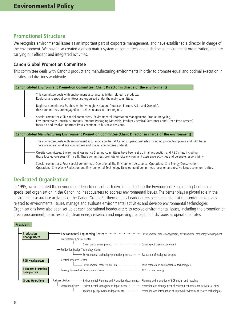#### **Promotional Structure**

We recognize environmental issues as an important part of corporate management, and have established a director in charge of the environment. We have also created a group matrix system of committees and a dedicated environment organization, and are carrying out efficient and integrated activities.

#### **Canon Global Promotion Committee**

This committee deals with Canon's product and manufacturing environments in order to promote equal and optimal execution in all sites and divisions worldwide.

| Canon Global Environment Promotion Committee (Chair: Director in charge of the environment)                                                                                                                                                                                                        |
|----------------------------------------------------------------------------------------------------------------------------------------------------------------------------------------------------------------------------------------------------------------------------------------------------|
| This committee deals with environment assurance activities related to products.<br>Regional and special committees are organized under the main committee.                                                                                                                                         |
| Regional committees: Established in five regions (Japan, Americas, Europe, Asia, and Oceania),<br>these committees are engaged in activities related to their regions.                                                                                                                             |
| Special committees: Six special committees (Environmental Information Management, Product Recycling,<br>Environmentally Conscious Products, Product Packaging Materials, Product Chemical Substances and Green Procurement)<br>focus on and resolve important issues common to business divisions. |
| Canon Global Manufacturing Environment Promotion Committee (Chair: Director in charge of the environment)                                                                                                                                                                                          |
| This committee deals with environment assurance activities at Canon's operational sites including production plants and R&D bases.<br>There are operational site committees and special committees under it.                                                                                       |
| On-site committees: Environment Assurance Steering committees have been set up in all production and R&D sites, including<br>those located overseas (51 in all). These committees promote on-site environment assurance activities and delegate responsibility.                                    |
| Special committees: Four special committees (Operational Site Environment Assurance, Operational Site Energy Conservation,<br>Operational Site Waste Reduction and Environmental Technology Development) committees focus on and resolve issues common to sites.                                   |

## **Dedicated Organization**

In 1995, we integrated the environment departments of each division and set up the Environment Engineering Center as a specialized organization in the Canon Inc. headquarters to address environmental issues. The center plays a pivotal role in the environment assurance activities of the Canon Group. Furthermore, as headquarters personnel, staff at the center make plans related to environmental issues, manage and evaluate environmental activities and develop environmental technologies. Organizations have also been set up at each operational headquarters to resolve environmental issues, including the promotion of green procurement, basic research, clean energy research and improving management divisions at operational sites.

#### **President**

| <b>Production</b><br><b>Headquarters</b>           | <b>Environmental Engineering Center</b><br>Environmental plans/management, environmental technology development<br>Procurement Control Center                                       |
|----------------------------------------------------|-------------------------------------------------------------------------------------------------------------------------------------------------------------------------------------|
|                                                    |                                                                                                                                                                                     |
|                                                    | - Production Design Technology Center                                                                                                                                               |
|                                                    | Environmental technology promotion projects $\cdots \cdots$ Evaluation of ecological designs                                                                                        |
| <b>R&amp;D Headquarters</b>                        | Central Research Center                                                                                                                                                             |
|                                                    | Environmental research division ·<br>Basic research on environmental technologies                                                                                                   |
| <b>E Business Promotion</b><br><b>Headquarters</b> | R&D for clean energy<br>Ecology Research & Development Center .                                                                                                                     |
| <b>Group Operations</b>                            | $-$ Business divisions $\mathord{\hspace{1pt}\text{--}\hspace{1pt}}$<br>Environmental Planning and Promotion departments $\cdot$ Planning and promotion of ECP design and recycling |
|                                                    | Operational sites - Environmental Management departments  Promotion and management of environment assurance activities at sites                                                     |
|                                                    | Technology Improvement departments · · · · · · · · · · · · · Promotion and introduction of improved environment-related technologies                                                |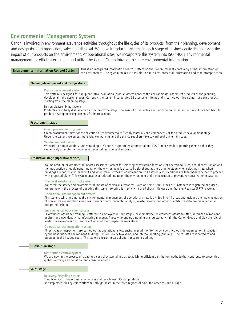#### **Environmental Management System**

Canon is involved in environment assurance activities throughout the life cycles of its products, from their planning, development and design through production, sales and disposal. We have introduced systems in each stage of business activities to lessen the impact of our products on the environment. At operational sites, we incorporate this system into ISO 14001 environmental management for efficient execution and utilize the Canon Group Intranet to share environmental information.

**Environmental Information Control System** This is an integrated information control system on the Canon Intranet containing global information on the environment. The system makes it possible to share environmental information and take prompt action.

#### **Planning/development and design stage**

#### Product assessment system

This system is designed for the quantitative evaluation (product assessment) of the environmental aspects of products at the planning, development and design stages. Currently, the system incorporates 55 assessment items and is carried out three times for each product starting from the planning stage.

#### Design disassembling system

Products are initially disassembled at the prototype stage. The ease of disassembly and recycling are assessed, and results are fed back to product development departments for improvement.

#### **Procurement stage**

#### Green procurement system

Green procurement aims for the selection of environmentally friendly materials and components at the product development stage. Under the system, we assess materials, components and the stance suppliers take toward environmental issues.

#### Vendor support system

We work to obtain vendors' understanding of Canon's corporate environmental and EQCD policy while supporting them so that they can actively promote their own environmental management systems.

#### **Production stage (Operational sites)**

We maintain an environmental impact assessment system for selecting construction locations for operational sites, actual construction and the introduction of equipment. Impact on the environment is assessed beforehand at the planning stage when selecting sites, when buildings are constructed or rebuilt and when various types of equipment are to be introduced. Decisions are then made whether to proceed with proposed plans. This system ensures a reduced impact on the environment and the execution of preventive conservation measures.

#### Chemical substance control system

We check the safety and environmental impact of chemical substances. Data on some 6,000 kinds of substances is registered and used. We are now in the process of updating this system to bring it in sync with the Pollutant Release and Transfer Register (PRTR) system.

#### Operational site management system

This system, which promotes the environmental management of operational sites, is divided into 14 areas and includes the implementation of preventive conservation measures. Results of environmental analysis, waste records, and other quantitative data are managed in an integrated fashion.

#### Environmental education system

Environment assurance training is offered to employees in four stages: new employee, environment assurance staff, internal environment auditor, and new deputy manufacturing manager. Those who undergo training are registered within the Canon Group and play the role of leaders in environment assurance activities at their respective workplaces.

#### Operational site inspection system

Three types of inspections are carried out at operational sites: environmental monitoring by a certified outside organization, inspection by the headquarters Environment Auditing Division (every two years) and internal auditing (annually). The results are reported to and assessed at the headquarters. This system ensures impartial and transparent auditing.

#### **Distribution stage**

#### Distribution control system

We are now in the process of creating a control system aimed at establishing efficient distribution methods that contribute to preventing global warming and pollution, and conserve energy.

#### **Sales stage**

Recovery/Recycling system

The objective of this system is to recover and recycle used Canon products.

We implement this system worldwide through bases in the three regions of Asia, the Americas and Europe.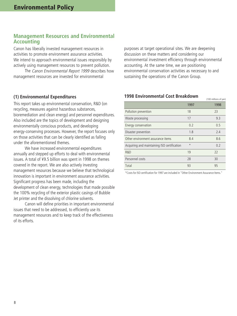#### **Management Resources and Environmental Accounting**

Canon has liberally invested management resources in activities to promote environment assurance activities. We intend to approach environmental issues responsibly by actively using management resources to prevent pollution.

The Canon Environmental Report 1999 describes how management resources are invested for environmental

purposes at target operational sites. We are deepening discussion on these matters and considering our environmental investment efficiency through environmental accounting. At the same time, we are positioning environmental conservation activities as necessary to and sustaining the operations of the Canon Group.

#### **(1) Environmental Expenditures**

This report takes up environmental conservation, R&D (on recycling, measures against hazardous substances, bioremediation and clean energy) and personnel expenditures. Also included are the topics of development and designing environmentally conscious products, and developing energy-conserving processes. However, the report focuses only on those activities that can be clearly identified as falling under the aforementioned themes.

We have increased environmental expenditures annually and stepped up efforts to deal with environmental issues. A total of ¥9.5 billion was spent in 1998 on themes covered in the report. We are also actively investing management resources because we believe that technological innovation is important in environment assurance activities. Significant progress has been made, including the development of clean energy, technologies that made possible the 100% recycling of the exterior plastic casings of Bubble Jet printer and the dissolving of chlorine solvents.

Canon will define priorities in important environmental issues that need to be addressed, to efficiently use its management resources and to keep track of the effectiveness of its efforts.

#### **1998 Environmental Cost Breakdown**

|                                             | 1997    | 1998 |
|---------------------------------------------|---------|------|
| Pollution prevention                        | 18      | 23   |
| Waste processing                            | 17      | 9.3  |
| Energy conservation                         | 0.2     | 0.5  |
| Disaster prevention                         | 1.8     | 2.4  |
| Other environment assurance items           | 8.4     | 8.6  |
| Acquiring and maintaining ISO certification | $\star$ | 0.2  |
| R&D                                         | 19      | 22   |
| Personnel costs                             | 28      | 30   |
| Total                                       | 93      | 95   |

 $(100 \text{ million of you})$ 

\*Costs for ISO certification for 1997 are included in "Other Environment Assurance Items."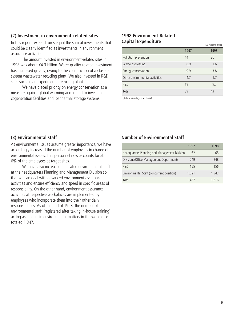#### **(2) Investment in environment-related sites**

In this report, expenditures equal the sum of investments that could be clearly identified as investments in environment assurance activities.

The amount invested in environment-related sites in 1998 was about ¥4.3 billion. Water quality-related investment has increased greatly, owing to the construction of a closedsystem wastewater recycling plant. We also invested in R&D sites such as an experimental recycling plant.

We have placed priority on energy conservation as a measure against global warming and intend to invest in cogeneration facilities and ice thermal storage systems.

#### **1998 Environment-Related Capital Expenditure**

|                                | 1997 | 1998 |
|--------------------------------|------|------|
| Pollution prevention           | 14   | 26   |
| Waste processing               | 0.9  | 1.6  |
| Energy conservation            | 0.9  | 3.8  |
| Other environmental activities | 4.7  | 1.7  |
| R&D                            | 19   | 9.7  |
| Total                          | 39   | 43   |

(100 millions of yen)

(Actual results; order base)

#### **(3) Environmental staff**

As environmental issues assume greater importance, we have accordingly increased the number of employees in charge of environmental issues. This personnel now accounts for about 6% of the employees at target sites.

We have also increased dedicated environmental staff at the headquarters Planning and Management Division so that we can deal with advanced environment assurance activities and ensure efficiency and speed in specific areas of responsibility. On the other hand, environment assurance activities at respective workplaces are implemented by employees who incorporate them into their other daily responsibilities. As of the end of 1998, the number of environmental staff (registered after taking in-house training) acting as leaders in environmental matters in the workplace totaled 1,347.

#### **Number of Environmental Staff**

|                                               | 1997  | 1998  |
|-----------------------------------------------|-------|-------|
| Headquarters Planning and Management Division | 62    | 65    |
| Divisions/Office Management Departments       | 249   | 248   |
| R&D                                           | 155   | 156   |
| Environmental Staff (concurrent position)     | 1.021 | 1.347 |
| Total                                         | 1.487 | 1.816 |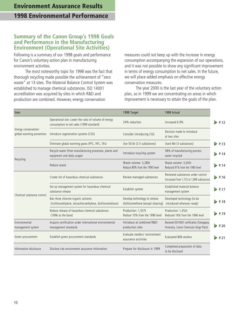# **Environment Assurance Results**

# **1998 Environmental Performance**

#### **Summary of the Canon Group's 1998 Goals and Performance in the Manufacturing Environment (Operational Site Activities)**

Following is a summary of our 1998 goals and performance for Canon's voluntary action plan in manufacturing environment activities.

The most noteworthy topic for 1998 was the fact that thorough recycling made possible the achievement of "zero waste" at 13 sites. The Material Balance Control System was established to manage chemical substances. ISO 14001 accreditation was acquired by sites in which R&D and production are combined. However, energy conservation

measures could not keep up with the increase in energy consumption accompanying the expansion of our operations, and it was not possible to show any significant improvement in terms of energy consumption to net sales. In the future, we will place added emphasis on effective energy conservation measures.

The year 2000 is the last year of the voluntary action plan, so in 1999 we are concentrating on areas in which improvement is necessary to attain the goals of the plan.

| Item                                              |                                                                                                   | 1998 Target                                                       | 1998 Actual                                                                            |             |
|---------------------------------------------------|---------------------------------------------------------------------------------------------------|-------------------------------------------------------------------|----------------------------------------------------------------------------------------|-------------|
|                                                   | Operational site: Lower the ratio of volume of energy<br>consumption to net sales (1999 standard) | 24% reduction                                                     | Increased 6.9%                                                                         | P.12        |
| Energy conservation/<br>global warming prevention | Introduce cogeneration systems (CGS)                                                              | Consider introducing CGS                                          | Decision made to introduce<br>at two sites                                             |             |
|                                                   | Eliminate global warming gases (PFC, HFC, SF6)                                                    | Use 50.6t (3.5 substances)                                        | Used 46t (3 substances)                                                                | $\geq$ P.13 |
|                                                   | Recycle water (from manufacturing processes, plants and<br>equipment and daily usage)             | Introduce recycling system                                        | 58% of manufacturing process<br>water recycled                                         | P.14        |
| Recycling                                         | Reduce waste                                                                                      | Waste volume: 3,280t<br>Reduce 89% from the 1990 level            | Waste volume: 3,043t<br>Reduced 91% from the 1990 level                                | P.14        |
|                                                   | Create list of hazardous chemical substances                                                      | Review managed substances                                         | Reviewed substances under control<br>(increased from 1,725 to 1,968 substances)        | $\geq$ P.16 |
|                                                   | Set up management system for hazardous chemical<br>substance release                              | Establish system                                                  | Established material balance<br>management system                                      | P.17        |
| Chemical substance control                        | Ban three chlorine organic solvents<br>(trichloroethylene, tetrachloroethylene, dichloromethane)  | Develop technology to remove<br>dichloromethane (except cleaning) | Developed technology (to be<br>introduced wherever ready)                              | P.18        |
|                                                   | Reduce release of hazardous chemical substances<br>(1996 as the base)                             | Production: 1,557t<br>Reduce 10% from the 1996 level              | Production: 1,452t<br>Reduced 16% from the 1996 level                                  | $\geq$ P.19 |
| Environmental<br>management system                | Acquire certification under international environmental<br>management standards                   | Introduce at combined R&D/<br>production sites                    | Received ISO14001 certification (Tamagawa,<br>Hiratsuka, Canon Chemicals Ishige Plant) | $\geq$ P.20 |
| Green procurement                                 | Establish green procurement standards                                                             | Evaluate vendors' environment<br>assurance activities             | Evaluated 808 vendors                                                                  | $\geq$ P.21 |
| Information disclosure                            | Disclose site environment assurance information                                                   | Prepare for disclosure in 1999                                    | Completed preparation of data<br>to be disclosed                                       |             |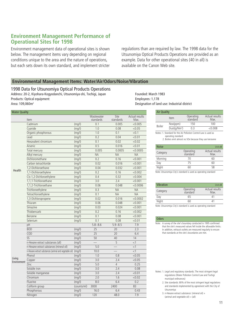#### **Environment Management Performance of Operational Sites for 1998**

Environment management data of operational sites is shown below. The management items vary depending on regional conditions unique to the area and the nature of operations, but each sets down its own standard, and implement stricter regulations than are required by law. The 1998 data for the Utsunomiya Optical Products Operations are provided as an example. Data for other operational sites (40 in all) is available on the Canon Web site.

#### **Environmental Management Items: Water/Air/Odors/Noise/Vibration**

1998 Data for Utsunomiya Optical Products Operations Address: 20-2, Kiyohara-Kogyodanchi, Utsunomiya-shi, Tochigi, Japan Founded: March 1983 Products: Optical equipment **Employees: 1,178** Employees: 1,178 Employees: 1,178 Employees: 1,178

| <b>Water Quality</b>  |                                                        |             |                         |                   |                        |  |  |
|-----------------------|--------------------------------------------------------|-------------|-------------------------|-------------------|------------------------|--|--|
|                       | Item                                                   |             | Wastewater<br>standards | Site<br>standards | Actual results<br>Max. |  |  |
|                       | Cadmium                                                | (mg/l)      | 0.1                     | 0.005             | < 0.005                |  |  |
|                       | Cyanide                                                | (mq/l)      | 1.0                     | 0.08              | < 0.05                 |  |  |
|                       | Organic phosphorous                                    | (mq/l)      | 1.0                     | 0.1               | < 0.1                  |  |  |
|                       | Lead                                                   | (mg/l)      | 0.2                     | 0.04              | < 0.01                 |  |  |
|                       | Hexavalent chromium                                    | (mg/l)      | 0.1                     | 0.02              | < 0.02                 |  |  |
|                       | Arsenic                                                | (mq/l)      | 0.5                     | 0.016             | < 0.01                 |  |  |
|                       | Total mercury                                          | (mq/l)      | 0.005                   | 0.0005            | < 0.0005               |  |  |
|                       | Alkyl mercury                                          | (mg/l)      | <b>NA</b>               | <b>NA</b>         | <b>NA</b>              |  |  |
|                       | Dichloromethane                                        | (mq/l)      | 0.2                     | 0.16              | < 0.001                |  |  |
|                       | Carbon tetrachloride                                   | (mq/l)      | 0.02                    | 0.016             | < 0.001                |  |  |
|                       | 1.2-Dichloroethane                                     | (mq/l)      | 0.04                    | 0.032             | < 0.001                |  |  |
| <b>Health</b>         | 1,1-Dichloroethylene                                   | (mg/l)      | 0.2                     | 0.16              | < 0.002                |  |  |
|                       | Cis-1,2-Dichloroethylene                               | (mg/l)      | 0.4                     | 0.32              | < 0.004                |  |  |
|                       | 1,1,1-Trichloroethane                                  | (mg/l)      | 3.0                     | 2.4               | < 0.001                |  |  |
|                       | 1,1,2-Trichloroethane                                  | (mg/l)      | 0.06                    | 0.048             | < 0.0006               |  |  |
|                       | Trichloroethylene                                      | (mg/l)      | 0.3                     | <b>NA</b>         | <b>NA</b>              |  |  |
|                       | Tetrachloroethylene                                    | (mg/l)      | 0.1                     | <b>NA</b>         | <b>NA</b>              |  |  |
|                       | 1,3-Dichloropropene                                    | (mq/l)      | 0.02                    | 0.016             | < 0.0002               |  |  |
|                       | Thiuram                                                | (mq/l)      | 0.06                    | 0.048             | < 0.001                |  |  |
|                       | Simazine                                               | (mq/l)      | 0.03                    | 0.024             | < 0.001                |  |  |
|                       | Thiobencarb                                            | (mg/l)      | 0.2                     | 0.16              | < 0.002                |  |  |
|                       | Benzene                                                | (mg/l)      | 0.1                     | 0.08              | < 0.001                |  |  |
|                       | Selenium                                               | (mq/l)      | 0.1                     | 0.08              | < 0.01                 |  |  |
|                       | pH                                                     |             | $5.8 - 8.6$             | $5.9 - 8.5$       | 7.9                    |  |  |
|                       | <b>BOD</b>                                             | (mg/l)      | 25                      | 20                | 2.3                    |  |  |
|                       | $\overline{COD}$                                       | (mq/l)      | 25                      | 20                | 6.4                    |  |  |
|                       | SS                                                     | (mq/l)      | 50                      | 40                | 14                     |  |  |
|                       | n-Hexane extract substances (all)                      | (mg/l)      |                         | 5                 | <1                     |  |  |
|                       | n-Hexane extract substances (mineral oil)              | (mg/l)      | 5.0                     |                   | $<$ 1                  |  |  |
|                       | n-Hexane extract substances (animal and vegetable oil) | (mg/l)      | 10.0                    |                   | <1                     |  |  |
|                       | Phenol                                                 | (mq/l)      | 1.0                     | 0.8               | < 0.05                 |  |  |
| Living<br>Environment | Copper                                                 | (mg/l)      | 3.0                     | 2.4               | < 0.05                 |  |  |
|                       | Zinc                                                   | (mg/l)      | 5.0                     | 4                 | 0.25                   |  |  |
|                       | Soluble iron                                           | (mq/l)      | 3.0                     | 2.4               | 0.08                   |  |  |
|                       | Soluble manganese                                      | (mg/l)      | 3.0                     | 2.4               | < 0.01                 |  |  |
|                       | Chromium                                               | (mg/l)      | 2.0                     | 1.6               | < 0.02                 |  |  |
|                       | Fluorine                                               | (mg/l)      | 8.0                     | 6.4               | 0.2                    |  |  |
|                       | Coliform group                                         | (counts/ml) | 3000                    | 2400              | 83                     |  |  |
|                       | Phosphorous                                            | (mq/l)      | 16.0                    | 6.4               | 0.43                   |  |  |
|                       | Nitrogen                                               | (mq/l)      | 120                     | 48.0              | 7.9                    |  |  |

 $A^*$   $\alpha$   $B^*$ Designation of land use: Industrial district

|                    | All Quality                                             |                                                                 |                       |                        |  |
|--------------------|---------------------------------------------------------|-----------------------------------------------------------------|-----------------------|------------------------|--|
|                    |                                                         | Item                                                            | Operating<br>standard | Actual results<br>Max. |  |
|                    | <b>Boiler</b>                                           | Nox(ppm)                                                        | 150                   | 100                    |  |
|                    |                                                         | Dust(g/Nm <sup>3</sup> )                                        | 0.3                   | < 0.008                |  |
|                    |                                                         | Notes: 1. Standard for the Air Pollution Control Law is used as |                       |                        |  |
| operating standard |                                                         |                                                                 |                       |                        |  |
|                    | 2. Boilers emit almost no SOx because they use kerosene |                                                                 |                       |                        |  |

| <b>Noise</b> |                       | Unit:dB                |
|--------------|-----------------------|------------------------|
| Category     | Operating<br>standard | Actual results<br>Max. |
| Morning      | 70                    | 60                     |
| Day          | 75                    | 60                     |
| Night        | 60                    | 58                     |
|              |                       |                        |

Note: Utsunomiya City's standard is used as operating standard

| Vibration |                       | Unit:dB                |
|-----------|-----------------------|------------------------|
| Category  | Operating<br>standard | Actual results<br>Max. |
| Day       | 65                    | Δ1                     |
| Night     | 60                    |                        |

Note: Utsunomiya City's standard is used as operating standard

Note: A survey of the site's boundary conducted in 1995 confirmed that the site's measured values fell inside the allowable limits. In addition, exhaust outlets are measured regularly to ensure that standards at the site's boundaries are met.

Notes: 1. Legal and regulatory standards: The most stringent legal regulations (Water Pollution Control Law and Tochigi municipal ordinances)

- 2. Site standards: 80% of the most stringent legal regulations and standards implemented by agreement with the City of Utsunomiya
- 3. n-Hexane extract substance: (mineral oil)  $+$  $(animal and vegetable oil) = (all)$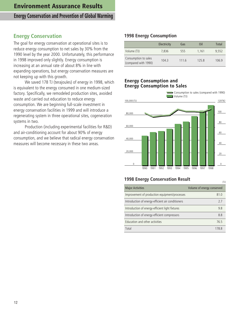## **Energy Conservation and Prevention of Global Warming**

## **Energy Conservation**

The goal for energy conservation at operational sites is to reduce energy consumption to net sales by 30% from the 1990 level by the year 2000. Unfortunately, this performance in 1998 improved only slightly. Energy consumption is increasing at an annual rate of about 8% in line with expanding operations, but energy conservation measures are not keeping up with this growth.

We saved 178 TJ (terajoules) of energy in 1998, which is equivalent to the energy consumed in one medium-sized factory. Specifically, we remodeled production sites, avoided waste and carried out education to reduce energy consumption. We are beginning full-scale investment in energy conservation facilities in 1999 and will introduce a regenerating system in three operational sites, cogeneration systems in two.

Production (including experimental facilities for R&D) and air-conditioning account for about 90% of energy consumption, and we believe that radical energy conservation measures will become necessary in these two areas.

#### **1998 Energy Consumption**

|                                              | Electricity | Gas   | Oil   | Total |
|----------------------------------------------|-------------|-------|-------|-------|
| Volume (TJ)                                  | 7,836       | 555   | 1.161 | 9.552 |
| Consumption to sales<br>(compared with 1990) | 104.3       | 111.6 | 125.8 | 106.9 |

#### **Energy Consumption and Energy Consumption to Sales**



#### **1998 Energy Conservation Result**

| <b>1990 LIICIYY CONSCIVULION INCSUIT</b>          |                            |  |  |  |
|---------------------------------------------------|----------------------------|--|--|--|
| <b>Major Activities</b>                           | Volume of energy conserved |  |  |  |
| Improvement of production equipment/processes     | 81.0                       |  |  |  |
| Introduction of energy-efficient air conditioners | 7.7                        |  |  |  |
| Introduction of energy-efficient light fixtures   | 9.8                        |  |  |  |
| Introduction of energy-efficient compressors      | 8.8                        |  |  |  |
| Education and other activities                    | 76.5                       |  |  |  |
| Total                                             | 178.8                      |  |  |  |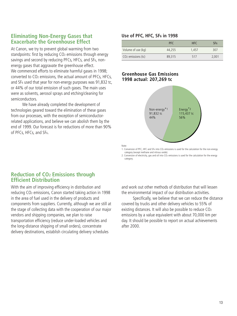#### **Eliminating Non-Energy Gases that Exacerbate the Greenhouse Effect**

At Canon, we try to prevent global warming from two standpoints: first by reducing CO<sub>2</sub> emissions through energy savings and second by reducing PFCs, HFCs, and SF6, nonenergy gases that aggravate the greenhouse effect. We commenced efforts to eliminate harmful gases in 1998; converted to CO2 emissions, the actual amount of PFCs, HFCs, and SF6 used that year for non-energy purposes was 91,832 tc, or 44% of our total emission of such gases. The main uses were as solvents, aerosol sprays and etching/cleaning for semiconductors.

We have already completed the development of technologies geared toward the elimination of these gases from our processes, with the exception of semiconductorrelated applications, and believe we can abolish them by the end of 1999. Our forecast is for reductions of more than 90% of PFCs, HFCs, and SF6.

#### **Use of PFC, HFC, SF6 in 1998**

|                                | <b>PFC</b> | HFC.  | SF6   |
|--------------------------------|------------|-------|-------|
| Volume of use (kg)             | 44.255     | 1.457 | 307   |
| CO <sub>2</sub> emissions (tc) | 89.315     | 517   | 2.001 |

#### **Greenhouse Gas Emissions 1998 actual: 207,269 tc**



Note:

1. Conversion of PFC, HFC and SF6 into CO2 emissions is used for the calculation for the non-energy category (except methane and nitrous oxide).

2. Conversion of electricity, gas and oil into CO<sub>2</sub> emissions is used for the calculation for the energy category.

#### **Reduction of CO2 Emissions through Efficient Distribution**

With the aim of improving efficiency in distribution and reducing CO2 emissions, Canon started taking action in 1998 in the area of fuel used in the delivery of products and components from suppliers. Currently, although we are still at the stage of collecting data with the cooperation of our major vendors and shipping companies, we plan to raise transportation efficiency (reduce under-loaded vehicles and the long-distance shipping of small orders), concentrate delivery destinations, establish circulating delivery schedules

and work out other methods of distribution that will lessen the environmental impact of our distribution activities.

Specifically, we believe that we can reduce the distance covered by trucks and other delivery vehicles to 55% of existing distances. It will also be possible to reduce CO2 emissions by a value equivalent with about 70,000 km per day. It should be possible to report on actual achievements after 2000.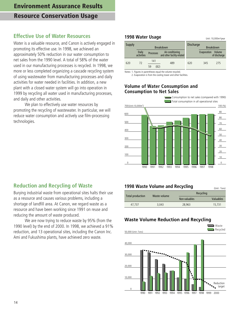## **Effective Use of Water Resources**

Water is a valuable resource, and Canon is actively engaged in promoting its effective use. In 1998, we achieved an approximately 50% reduction in our water consumption to net sales from the 1990 level. A total of 58% of the water used in our manufacturing processes is recycled. In 1998, we more or less completed organizing a cascade recycling system of using wastewater from manufacturing processes and daily activities for water needed in facilities. In addition, a new plant with a closed water system will go into operation in 1999 by recycling all water used in manufacturing processes, and daily and other activities.

We plan to effectively use water resources by promoting the recycling of wastewater. In particular, we will reduce water consumption and actively use film-processing technologies.

#### **1998 Water Usage**

| Supply | <b>Breakdown</b>    |                   | Discharge                                      | <b>Breakdown</b> |             |                        |
|--------|---------------------|-------------------|------------------------------------------------|------------------|-------------|------------------------|
|        | Daily<br>activities | <b>Processes</b>  | Air-conditioning<br>and other facility-related |                  | Evaporation | Volume<br>of discharge |
| 620    | 72                  | 141<br>(82)<br>59 | 489                                            | 620              | 345         | 275                    |

Unit: 10.000m<sup>3</sup>/year

Notes: 1. Figures in parentheses equal the volume recycled.

2. Evaporation is from the cooling tower and other facilities.

#### **Volume of Water Consumption and Consumption to Net Sales**



## **Reduction and Recycling of Waste**

Burying industrial waste from operational sites halts their use as a resource and causes various problems, including a shortage of landfill area. At Canon, we regard waste as a resource and have been working since 1991 on reuse and reducing the amount of waste produced.

We are now trying to reduce waste by 95% (from the 1990 level) by the end of 2000. In 1998, we achieved a 91% reduction, and 13 operational sites, including the Canon Inc. Ami and Fukushima plants, have achieved zero waste.

#### **1998 Waste Volume and Recycling** (Unit : Tons)

|  | Total production | Waste volume | Recycling     |           |
|--|------------------|--------------|---------------|-----------|
|  |                  |              | Non-valuables | Valuables |
|  | 47.737           | 3.043        | 28.963        | 15.731    |
|  |                  |              |               |           |

#### **Waste Volume Reduction and Recycling**

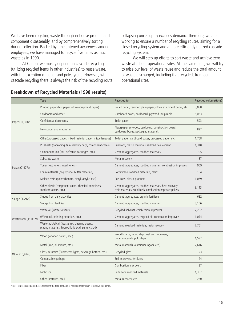We have been recycling waste through in-house product and component disassembly, and by comprehensively sorting during collection. Backed by a heightened awareness among employees, we have managed to recycle five times as much waste as in 1990.

At Canon, we mostly depend on cascade recycling (utilizing recycled items in other industries) to reuse waste, with the exception of paper and polystyrene. However, with cascade recycling there is always the risk of the recycling route collapsing once supply exceeds demand. Therefore, we are working to ensure a number of recycling routes, aiming for a closed recycling system and a more efficiently utilized cascade recycling system.

We will step up efforts to sort waste and achieve zero waste at all our operational sites. At the same time, we will try to raise our level of waste reuse and reduce the total amount of waste discharged, including that recycled, from our operational sites.

|                      | <b>Type</b>                                                                                            | Recycled to                                                                                                        | Recycled volume (tons) |
|----------------------|--------------------------------------------------------------------------------------------------------|--------------------------------------------------------------------------------------------------------------------|------------------------|
|                      | Printing paper (test paper, office equipment paper)                                                    | Rolled paper, recycled plain paper, office equipment paper, etc.                                                   | 3,088                  |
|                      | Cardboard and other                                                                                    | Cardboard boxes, cardboard, plywood, pulp mold                                                                     | 5,063                  |
| Paper (11,328t)      | Confidential documents                                                                                 | Toilet paper                                                                                                       | 593                    |
|                      | Newspaper and magazines                                                                                | Newspaper, plywood, cardboard, construction board,<br>cardboard boxes, packaging materials                         | 827                    |
|                      | Other(processed paper, mixed material paper, miscellaneous)                                            | Toilet paper, cardboard boxes, processed paper, etc.                                                               | 1,758                  |
|                      | PE sheets (packaging, film, delivery bags, component cases)                                            | Fuel rods, plastic materials, railroad ties, cement                                                                | 1,310                  |
|                      | Component unit (MT, defective cartridges, etc.)                                                        | Cement, aggregates, roadbed materials                                                                              | 705                    |
|                      | Substrate waste                                                                                        | Metal recovery                                                                                                     | 187                    |
| Plastic (7,477t)     | Toner (test toners, used toners)                                                                       | Cement, aggregates, roadbed materials, combustion improvers                                                        | 909                    |
|                      | Foam materials (polystyrene, buffer materials)                                                         | Polystyrene, roadbed materials, resins                                                                             | 184                    |
|                      | Molded resin (polycarbonate, Noryl, acrylic, etc.)                                                     | Fuel rods, plastic products                                                                                        | 1,069                  |
|                      | Other plastic (component cases, chemical containers,<br>food containers, etc.)                         | Cement, aggregates, roadbed materials, heat recovery,<br>resin materials, solid fuels, combustion improver pellets | 3,113                  |
| Sludge (3,797t)      | Sludge from daily activities                                                                           | Cement, aggregates, organic fertilizers                                                                            | 632                    |
|                      | Sludge from facilities                                                                                 | Cement, aggregates, roadbed materials                                                                              | 3,166                  |
|                      | Waste oil (waste solvents)                                                                             | Recycled solvents, combustion improvers                                                                            | 2,262                  |
| Wastewater (11,097t) | (Waste oil, painting materials, etc.)                                                                  | Cement, aggregates, recycled oil, combustion improvers                                                             | 1,074                  |
|                      | Waste acid/alkali (Waste ink, cleaning agents,<br>plating materials, hydrochloric acid, sulfuric acid) | Cement, roadbed materials, metal recovery                                                                          | 7,761                  |
|                      | Wood (wooden pallets, etc.)                                                                            | Wood boards, wood chip, fuel, soil improvers,<br>paper materials, pulp chips                                       | 1,597                  |
| Other (10,994t)      | Metal (iron, aluminum, etc.)                                                                           | Metal materials (aluminum ingots, etc.)                                                                            | 7,616                  |
|                      | Glass, ceramics (fluorescent lights, beverage bottles, etc.)                                           | Recycled glass                                                                                                     | 123                    |
|                      | Combustible garbage                                                                                    | Soil improvers, fertilizers                                                                                        | 24                     |
|                      | Fiber                                                                                                  | Combustion improvers                                                                                               | 27                     |
|                      | Night soil                                                                                             | Fertilizers, roadbed materials                                                                                     | 1,357                  |
|                      | Other (batteries, etc.)                                                                                | Metal recovery, etc.                                                                                               | 250                    |

#### **Breakdown of Recycled Materials (1998 results)**

Note: Figures inside parentheses represent the total tonnage of recycled materials in respective categories.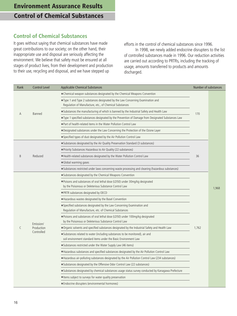## **Control of Chemical Substances**

It goes without saying that chemical substances have made great contributions to our society; on the other hand, their inappropriate use and disposal are seriously affecting the environment. We believe that safety must be ensured at all stages of product lives, from their development and production to their use, recycling and disposal, and we have stepped up

efforts in the control of chemical substances since 1996. In 1998, we newly added endocrine disrupters to the list of controlled substances made in 1996. Our reduction activities are carried out according to PRTRs, including the tracking of usage, amounts transferred to products and amounts discharged.

| Rank | <b>Control Level</b> | Applicable Chemical Substances                                                                                                                   | Number of substances |       |
|------|----------------------|--------------------------------------------------------------------------------------------------------------------------------------------------|----------------------|-------|
|      |                      | • Chemical weapon substances designated by the Chemical Weapons Convention                                                                       |                      |       |
|      |                      | • Type 1 and Type 2 substances designated by the Law Concerning Examination and<br>Regulation of Manufacture, etc., of Chemical Substances       |                      |       |
| A    | Banned               | • Substances the manufacturing of which is banned by the Industrial Safety and Health Law                                                        | 170                  |       |
|      |                      | $\bullet$ Type 1 specified substances designated by the Prevention of Damage from Designated Substances Law                                      |                      |       |
|      |                      | ● Part of health-related items in the Water Pollution Control Law                                                                                |                      |       |
|      |                      | • Designated substances under the Law Concerning the Protection of the Ozone Layer                                                               |                      |       |
|      |                      | • Specified types of dust designated by the Air Pollution Control Law                                                                            |                      |       |
|      |                      | • Substances designated by the Air Quality Preservation Standard (3 substances)                                                                  |                      |       |
|      |                      | • Priority Substances Hazardous to Air Quality (22 substances)                                                                                   |                      |       |
| B    | Reduced              | • Health-related substances designated by the Water Pollution Control Law                                                                        | 36                   |       |
|      |                      | • Global warming gases                                                                                                                           |                      |       |
|      |                      | • Substances restricted under laws concerning waste processing and cleaning (hazardous substances)                                               |                      | 1,968 |
|      |                      | • Substances designated by the Chemical Weapons Convention                                                                                       |                      |       |
|      |                      | . Poisons and substances of oral lethal dose (LD50) under 30mg/kg designated<br>by the Poisonous or Deleterious Substance Control Law            |                      |       |
|      |                      | . PRTR substances designated by OECD                                                                                                             |                      |       |
|      |                      | • Hazardous wastes designated by the Basel Convention                                                                                            |                      |       |
|      |                      | • Specified substances designated by the Law Concerning Examination and<br>Regulation of Manufacture, etc. of Chemical Substances                |                      |       |
|      | Emission/            | . Poisons and substances of oral lethal dose (LD50) under 100mg/kg designated<br>by the Poisonous or Deleterious Substance Control Law           |                      |       |
| C    | Production           | ● Organic solvents and specified substances designated by the Industrial Safety and Health Law                                                   | 1,762                |       |
|      | Controlled           | • Substances related to water (including substances to be monitored), air and<br>soil environment standard items under the Basic Environment Law |                      |       |
|      |                      | • Substances restricted under the Water Supply Law (46 items)                                                                                    |                      |       |
|      |                      | • Hazardous substances and specified substances designated by the Air Pollution Control Law                                                      |                      |       |
|      |                      | • Hazardous air-polluting substances designated by the Air Pollution Control Law (234 substances)                                                |                      |       |
|      |                      | • Substances designated by the Offensive Odor Control Law (22 substances)                                                                        |                      |       |
|      |                      | • Substances designated by chemical substances usage status survey conducted by Kanagawa Prefecture                                              |                      |       |
|      |                      | • Items subject to surveys for water quality preservation                                                                                        |                      |       |
|      |                      | • Endocrine disrupters (environmental hormones)                                                                                                  |                      |       |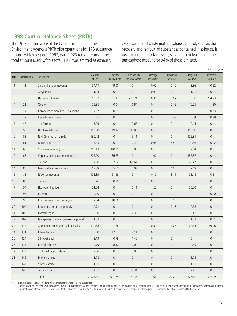## **1998 Control Balance Sheet (PRTR)**

The 1998 performance of the Canon Group under the Environment Agency's PRTR pilot operations for 178 substance groups, which began in 1997, was 2,023 tons in terms of the total amount used. Of this total, 19% was emitted as exhaust,

wastewater and waste matter. Exhaust control, such as the recovery and removal of substances contained in exhaust, is becoming an important issue, since those released into the atmosphere account for 94% of those emitted.

(Unit: tons/year)

|                |                |                                    |                  |                         |                                  |                         |                        |                     | (UIIIL. LUIIS/ year) |
|----------------|----------------|------------------------------------|------------------|-------------------------|----------------------------------|-------------------------|------------------------|---------------------|----------------------|
| N <sub>O</sub> | Substance #    | Substance                          | Volume<br>of use | Transfer<br>to products | Emissions into<br>the atmosphere | Discharge<br>into water | Production<br>of waste | Recycled<br>volume  | Removal<br>volume    |
| $\overline{1}$ | $\mathbf{1}$   | Zinc and zinc compounds            | 54.17            | 49.90                   | $\overline{0}$                   | 0.07                    | 0.12                   | 3.86                | 0.22                 |
| 2              | $\overline{2}$ | Acryl amide                        | 1.24             | $\mathbb O$             | $\mathbb O$                      | 0.03                    | $\mathsf{0}$           | 1.21                | $\mathbb O$          |
| 3              | 15             | Hydrogen chloride                  | 569.92           | 1.43                    | 210.24                           | 0.35                    | 0.07                   | 73.60               | 284.23               |
| $\overline{4}$ | 21             | Xylene                             | 28.95            | 0.04                    | 16.84                            | $\mathbb O$             | 0.12                   | 10.05               | 1.90                 |
| 5              | 24             | Chromium compounds (Hexavalent)    | 4.67             | 0.29                    | $\mathbf 0$                      | $\mathbf 0$             | $\mathbb O$            | 3.65                | 0.73                 |
| 6              | 37             | Cyanide compounds                  | 0.85             | $\mathbb O$             | $\overline{0}$                   | $\mathbf{0}$            | 0.42                   | 0.04                | 0.39                 |
| $\overline{7}$ | 42             | 1,4-Dioxane                        | 3.09             | $\mathbf 0$             | 2.65                             | $\mathbb O$             | $\mathbb O$            | 0.44                | $\mathsf{O}\xspace$  |
| 8              | 50             | Dichloromethane                    | 165.68           | 19.44                   | 38.06                            | $\mathbb O$             | $\mathbf 0$            | 108.18              | $\mathbb O$          |
| 9              | 58             | N,N-Dimethylformamide              | 130.42           | $\mathbb O$             | 5.11                             | $\mathbf{0}$            | $\mathbf{0}$           | 125.31              | $\mathbf{0}$         |
| 10             | 61             | Oxalic acid                        | 5.35             | $\mathbf 0$             | 0.30                             | 0.05                    | 4.52                   | 0.46                | 0.02                 |
| 11             | 63             | Styrene (monomer)                  | 313.43           | 310.71                  | 0.08                             | $\mathbb O$             | $\mathbb O$            | 2.64                | 0                    |
| 12             | 68             | Copper and copper compounds        | 225.00           | 86.63                   | $\overline{0}$                   | 1.00                    | $\overline{0}$         | 137.37              | $\overline{0}$       |
| 13             | 79             | Toluene                            | 94.50            | 2.84                    | 65.64                            | $\mathbb O$             | 3.25                   | 22.77               | $\mathbb O$          |
| 14             | 80             | Lead and lead compounds            | 13.88            | 5.60                    | 0.03                             | $\mathbb O$             | 1.06                   | 7.19                | $\overline{0}$       |
| 15             | 81             | Nickel compounds                   | 178.39           | 151.39                  | $\overline{0}$                   | 0.10                    | 3.11                   | 23.48               | 0.31                 |
| 16             | 83             | Thiram                             | 0.26             | 0.26                    | $\mathsf{O}\xspace$              | $\mathbf{0}$            | $\mathsf{O}\xspace$    | $\mathbb O$         | $\mathbb O$          |
| 17             | 94             | Hydrogen fluoride                  | 21.54            | 0                       | 0.11                             | 1.23                    | $\mathbb O$            | 20.20               | $\mathbb O$          |
| 18             | 95             | Fluorine                           | 0.20             | $\mathbf{0}$            | $\overline{0}$                   | $\mathbf{0}$            | $\overline{0}$         | $\overline{0}$      | 0.20                 |
| 19             | 96             | Fluorine compounds (inorganic)     | 27.04            | 18.86                   | $\mathbb O$                      | $\mathbf 0$             | 8.18                   | $\mathbf 0$         | $\mathsf{O}\xspace$  |
| 20             | 104            | Boron and boron compounds          | 0.71             | $\mathbf 0$             | $\overline{0}$                   | $\mathbb O$             | 0.13                   | 0.58                | $\mathbf 0$          |
| 21             | 105            | Formaldehyde                       | 9.80             | $\mathbb O$             | 7.35                             | $\mathbf{0}$            | $\overline{0}$         | 2.45                | $\mathbf{0}$         |
| 22             | 107            | Manganese and manganese compounds  | 1.02             | $\mathbf 0$             | $\mathbb O$                      | $\mathbf 0$             | $\mathbb O$            | 1.01                | 0.01                 |
| 23             | 118            | Aluminum compounds (soluble salts) | 110.68           | 21.68                   | $\mathbf 0$                      | 0.83                    | 0.26                   | 68.83               | 19.08                |
| 24             | 121            | Ethanolamine                       | 20.08            | 12.97                   | 7.11                             | $\mathbb O$             | $\overline{0}$         | $\overline{0}$      | $\overline{0}$       |
| 25             | 124            | 2-Etoxyethanol                     | 2.19             | 0.79                    | 1.40                             | $\mathbb O$             | $\mathbf 0$            | $\mathbf 0$         | $\mathbb O$          |
| 26             | 133            | Methyl chloride                    | 10.79            | 8.10                    | 0.04                             | $\mathbb O$             | $\mathbf 0$            | 2.65                | $\mathbf 0$          |
| 27             | 134            | 2-Etoxyethanol acetate             | 3.06             | $\mathbb O$             | 3.06                             | $\mathsf{O}\xspace$     | $\mathsf{O}\xspace$    | $\mathsf{O}\xspace$ | $\mathbb O$          |
| 28             | 142            | Diphenylamine                      | 1.78             | $\mathbb O$             | $\mathsf{O}\xspace$              | $\mathsf{O}\xspace$     | $\mathbf 0$            | 1.78                | $\mathbb O$          |
| 29             | 147            | Silicon carbide                    | 1.11             | $\mathbb O$             | $\mathsf{O}\xspace$              | $\mathbb O$             | $\mathsf{O}\xspace$    | 1.11                | $\mathsf{O}\xspace$  |
| 30             | 149            | Tetrahydrofuran                    | 24.01            | 0.92                    | 15.34                            | $\mathbb O$             | $\mathsf{O}\xspace$    | 7.75                | $\mathsf{O}\xspace$  |
|                |                | Total                              | 2,023.81         | 691.85                  | 373.36                           | 3.66                    | 21.24                  | 626.61              | 307.09               |

Notes: 1. Substances designated under PRTR: Environmental Agency's 178 substances

2. Offices with no use of subject substances (16 sites): Kosugi Office, Canon Research Center, Meguro Office, Utsunomiya Plant (Kanuma Branch), Fukushima Plant, Canon Electronics (headquarters, Yamada and Misato plants), Copyer (headquarters, Tachikawa Plant), Canon Precision, Hanawa Seiki, Canon Chemicals (Totsuka Plant), Canon Aptex (headquarters, Shimomaruko Office), Miyazaki Daishin Canon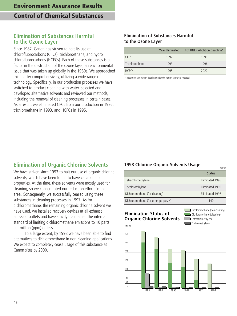### **Elimination of Substances Harmful to the Ozone Layer**

Since 1987, Canon has striven to halt its use of chlorofluorocarbons (CFCs), trichloroethane, and hydro chlorofluorocarbons (HCFCs). Each of these substances is a factor in the destruction of the ozone layer, an environmental issue that was taken up globally in the 1980s. We approached this matter comprehensively, utilizing a wide range of technology. Specifically, in our production processes we have switched to product cleaning with water, selected and developed alternative solvents and reviewed our methods, including the removal of cleaning processes in certain cases. As a result, we eliminated CFCs from our production in 1992, trichloroethane in 1993, and HCFCs in 1995.

#### **Elimination of Substances Harmful to the Ozone Layer**

|                 | <b>Year Fliminated</b> | 4th UNEP Abolition Deadline* |
|-----------------|------------------------|------------------------------|
| CFCs            | 1992                   | 1996                         |
| Trichloroethane | 1993                   | 1996                         |
| <b>HCFCs</b>    | 1995                   | 2020                         |

\*Reduction/Elimination deadline under the Fourth Montreal Protocol

## **Elimination of Organic Chlorine Solvents**

We have striven since 1993 to halt our use of organic chlorine solvents, which have been found to have carcinogenic properties. At the time, these solvents were mostly used for cleaning, so we concentrated our reduction efforts in this area. Consequently, we successfully ceased using these substances in cleaning processes in 1997. As for dichloromethane, the remaining organic chlorine solvent we have used, we installed recovery devices at all exhaust emission outlets and have strictly maintained the internal standard of limiting dichloromethane emissions to 10 parts per million (ppm) or less.

To a large extent, by 1998 we have been able to find alternatives to dichloromethane in non-cleaning applications. We expect to completely cease usage of this substance at Canon sites by 2000.

#### **1998 Chlorine Organic Solvents Usage**

|                                      | , ,             |
|--------------------------------------|-----------------|
|                                      | <b>Status</b>   |
| Tetrachloroethylene                  | Eliminated 1996 |
| Trichloroethylene                    | Eliminated 1996 |
| Dichloromethane (for cleaning)       | Eliminated 1997 |
| Dichloromethane (for other purposes) | 140             |

#### **Elimination Status of Organic Chlorine Solvents**

Dichloromethane (non-cleaning) Tetrachloroethylene Dichloromethane (cleaning)

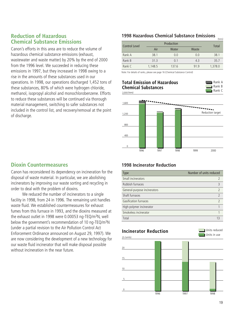#### **Reduction of Hazardous Chemical Substance Emissions**

Canon's efforts in this area are to reduce the volume of hazardous chemical substance emissions (exhaust, wastewater and waste matter) by 20% by the end of 2000 from the 1996 level. We succeeded in reducing these emissions in 1997, but they increased in 1998 owing to a rise in the amounts of these substances used in our operations. In 1998, our operations discharged 1,452 tons of these substances, 80% of which were hydrogen chloride, methanol, isopropyl alcohol and monochlorobenzene. Efforts to reduce these substances will be continued via thorough material management, switching to safer substances not included in the control list, and recovery/removal at the point of discharge.

#### **1998 Hazardous Chemical Substance Emissions**

| Control Level |         | Production |       | Total   |
|---------------|---------|------------|-------|---------|
|               | Air     | Water      | Waste |         |
| Rank A        | 38.1    | 0.0        | 0.0   | 38.1    |
| Rank B        | 31.3    | 0.1        | 4.3   | 35.7    |
| Rank C        | 1.148.5 | 137.6      | 91.9  | 1,378.0 |

Note: For details of ranks, please see page 16 (Chemical Substance Control)

#### 2,000 (tons) **Total Emission of Hazardous Chemical Substances**



(tons)



## **Dioxin Countermeasures**

Canon has reconsidered its dependency on incineration for the disposal of waste material. In particular, we are abolishing incinerators by improving our waste sorting and recycling in order to deal with the problem of dioxins.

We reduced the number of incinerators to a single facility in 1998, from 24 in 1996. The remaining unit handles waste fluid. We established countermeasures for exhaust fumes from this furnace in 1993, and the dioxins measured at the exhaust outlet in 1998 were 0.00053 ng-TEQ/m3N, well below the government's recommendation of 10 ng-TEQ/m3N (under a partial revision to the Air Pollution Control Act Enforcement Ordinance announced on August 29, 1997). We are now considering the development of a new technology for our waste fluid incinerator that will make disposal possible without incineration in the near future.

#### **1998 Incinerator Reduction**

| <b>Type</b>                  | Number of units reduced  |
|------------------------------|--------------------------|
| Small incinerators           | 7                        |
| Rubbish furnaces             | $\overline{\mathcal{E}}$ |
| General-purpose incinerators | $\mathcal{D}$            |
| Shaft furnaces               | $\mathcal{P}$            |
| Gasification furnaces        | $\mathcal{D}$            |
| High-polymer incinerator     |                          |
| Smokeless incinerator        |                          |
| Total                        | 13                       |

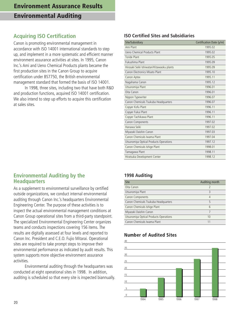# **Acquiring ISO Certification**

Canon is promoting environmental management in accordance with ISO 14001 international standards to step up, and implement in a more systematic and efficient manner environment assurance activities at sites. In 1995, Canon Inc.'s Ami and Ueno Chemical Products plants became the first production sites in the Canon Group to acquire certification under BS7750, the British environmental management standard that formed the basis of ISO 14001.

In 1998, three sites, including two that have both R&D and production functions, acquired ISO 14001 certification. We also intend to step up efforts to acquire this certification at sales sites.

## **Environmental Auditing by the Headquarters**

As a supplement to environmental surveillance by certified outside organizations, we conduct internal environmental auditing through Canon Inc.'s headquarters Environmental Engineering Center. The purpose of these activities is to inspect the actual environmental management conditions at Canon Group operational sites from a third-party standpoint. The specialized Environmental Engineering Center organizes teams and conducts inspections covering 156 items. The results are digitally assessed at four levels and reported to Canon Inc. President and C.E.O. Fujio Mitarai. Operational sites are required to take prompt steps to improve their environmental performance as indicated by audit results. This system supports more objective environment assurance activities.

Environmental auditing through the headquarters was conducted at eight operational sites in 1998. In addition, auditing is scheduled so that every site is inspected biannually.

## **ISO Certified Sites and Subsidiaries**

| Site/Subsidiary                            | Certification Date (y/m) |
|--------------------------------------------|--------------------------|
| Ami Plant                                  | 1995.02                  |
| Ueno Chemical Products Plant               | 1995.02                  |
| <b>Toride Plant</b>                        | 1995.05                  |
| Fukushima Plant                            | 1995.09                  |
| Hirosaki Seiki Ishiwatari/Kitawaoku plants | 1995.09                  |
| Canon Electronics Misato Plant             | 1995.10                  |
| Canon Aptex                                | 1995.11                  |
| Nagahama Canon                             | 1995.12                  |
| Utsunomiya Plant                           | 1996.01                  |
| Oita Canon                                 | 1996.01                  |
| Nippon Typewriter                          | 1996.07                  |
| Canon Chemicals Tsukuba Headquarters       | 1996.07                  |
| Copyer Kofu Plant                          | 1996.11                  |
| Copyer Fukui Plant                         | 1996.11                  |
| Copyer Tachikawa Plant                     | 1996.11                  |
| Canon Components                           | 1997.02                  |
| Hanawa Seiki                               | 1997.02                  |
| Miyazaki Daishin Canon                     | 1997.03                  |
| Canon Chemicals Iwama Plant                | 1997.04                  |
| Utsunomiya Optical Products Operations     | 1997.12                  |
| Canon Chemicals Ishige Plant               | 1998.01                  |
| Tamagawa Plant                             | 1998.11                  |
| Hiratsuka Development Center               | 1998.12                  |

## **1998 Auditing**

| <b>Site</b>                            | Auditing month  |
|----------------------------------------|-----------------|
| Oita Canon                             |                 |
| Utsunomiya Plant                       | 3               |
| Canon Components                       | 4               |
| Canon Chemicals Tsukuba Headquarters   | 5               |
| Canon Chemicals Ishige Plant           | $6\overline{6}$ |
| Miyazaki Daishin Canon                 |                 |
| Utsunomiya Optical Products Operations | 10              |
| Canon Chemicals Iwama Plant            |                 |

# **Number of Audited Sites**

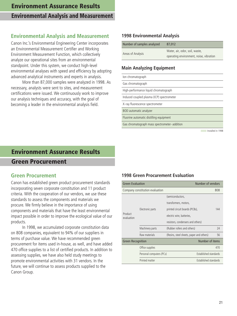## **Environmental Analysis and Measurement**

Canon Inc.'s Environmental Engineering Center incorporates an Environmental Measurement Certifier and Working Environment Measurement Function, which collectively analyze our operational sites from an environmental standpoint. Under this system, we conduct high-level environmental analyses with speed and efficiency by adopting advanced analytical instruments and experts in analysis.

More than 87,000 samples were analyzed in 1998. As necessary, analysts were sent to sites, and measurement certifications were issued. We continuously work to improve our analysis techniques and accuracy, with the goal of becoming a leader in the environmental analysis field.

#### **1998 Environmental Analysis**

| Number of samples analyzed | 87,012                                  |  |  |
|----------------------------|-----------------------------------------|--|--|
| Areas of Analysis          | Water, air, odor, soil, waste,          |  |  |
|                            | operating environment, noise, vibration |  |  |

#### **Main Analyzing Equipment**

| lon chromatograph                            |
|----------------------------------------------|
| Gas chromatograph                            |
| High-performance liquid chromatograph        |
| Induced coupled plasma (ICP) spectrometer    |
| X-ray fluorescence spectrometer              |
| BOD automatic analyzer                       |
| Fluorine automatic distilling equipment      |
| Gas chromatograph mass spectrometer-addition |

Installed in 1998

# **Environment Assurance Results**

#### **Green Procurement**

#### **Green Procurement**

Canon has established green product procurement standards incorporating seven corporate constitution and 11 product criteria. With the cooperation of our vendors, we use these standards to assess the components and materials we procure. We firmly believe in the importance of using components and materials that have the least environmental impact possible in order to improve the ecological value of our products.

In 1998, we accumulated corporate constitution data on 808 companies, equivalent to 94% of our suppliers in terms of purchase value. We have recommended green procurement for items used in-house, as well, and have added 470 office supplies to a list of certified products. In addition to assessing supplies, we have also held study meetings to promote environmental activities with 31 vendors. In the future, we will continue to assess products supplied to the Canon Group.

#### **1998 Green Procurement Evaluation**

| <b>Green Evaluation</b>  |                                 | Number of vendors                        |     |
|--------------------------|---------------------------------|------------------------------------------|-----|
|                          | Company constitution evaluation |                                          | 808 |
|                          |                                 | (semiconductors,                         |     |
|                          |                                 | transformers, motors,                    |     |
|                          | Electronic parts                | printed circuit boards (PCBs),           | 144 |
| Product<br>evaluation    |                                 | electric wire, batteries,                |     |
|                          |                                 | resistors, condensers and others)        |     |
|                          | Machinery parts                 | (Rubber rollers and others)              | 24  |
|                          | Raw materials                   | (Resins, steel sheets, paper and others) | 56  |
| <b>Green Recognition</b> |                                 | Number of items                          |     |
|                          | Office supplies                 |                                          | 470 |
|                          | Personal computers (PCs)        | Established standards                    |     |
|                          | Printed matter                  | Established standards                    |     |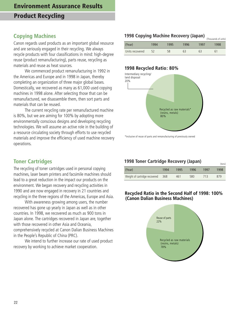## **Copying Machines**

Canon regards used products as an important global resource and are seriously engaged in their recycling. We always recycle products with four classifications in mind: high-degree reuse (product remanufacturing), parts reuse, recycling as materials and reuse as heat sources.

We commenced product remanufacturing in 1992 in the Americas and Europe and in 1998 in Japan, thereby completing an organization of three major global bases. Domestically, we recovered as many as 61,000 used copying machines in 1998 alone. After selecting those that can be remanufactured, we disassemble them, then sort parts and materials that can be reused.

The current recycling rate per remanufactured machine is 80%, but we are aiming for 100% by adopting more environmentally conscious designs and developing recycling technologies. We will assume an active role in the building of a resource circulating society through efforts to use recycled materials and improve the efficiency of used machine recovery operations.

## **Toner Cartridges**

The recycling of toner cartridges used in personal copying machines, laser beam printers and facsimile machines should lead to a great reduction in the impact our products on the environment. We began recovery and recycling activities in 1990 and are now engaged in recovery in 21 countries and recycling in the three regions of the Americas, Europe and Asia.

With awareness growing among users, the number recovered has gone up yearly in Japan as well as in other countries. In 1998, we recovered as much as 900 tons in Japan alone. The cartridges recovered in Japan are, together with those recovered in other Asia and Oceania, comprehensively recycled at Canon Dalian Business Machines in the People's Republic of China (PRC).

We intend to further increase our rate of used product recovery by working to achieve market cooperation.

# **1998 Copying Machine Recovery (Japan)** (Thousands of units)

| 'Year)          | 1994 | 1995 | 1996 | 1997 | 1998 |
|-----------------|------|------|------|------|------|
| Units recovered | 52   | 58   | 63   | 63   |      |

#### **1998 Recycled Ratio: 80%**



\*Inclusive of reuse of parts and remanufacturing of previously owned

#### **1998 Toner Cartridge Recovery (Japan)** (tons)

|                               |      |      |      |      | 1001121 |
|-------------------------------|------|------|------|------|---------|
| (Year)                        | 1994 | 1995 | 1996 | 1997 | 1998    |
| Weight of cartridge recovered | 368  | 461  | 580  | 713  | 879     |

#### **Recycled Ratio in the Second Half of 1998: 100% (Canon Dalian Business Machines)**

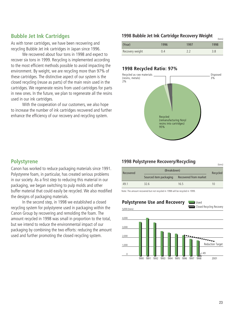## **Bubble Jet Ink Cartridges**

As with toner cartridges, we have been recovering and recycling Bubble Jet ink cartridges in Japan since 1996.

We recovered about four tons in 1998 and expect to recover six tons in 1999. Recycling is implemented according to the most efficient methods possible to avoid impacting the environment. By weight, we are recycling more than 97% of these cartridges. The distinctive aspect of our system is the closed recycling (reuse as parts) of the main resin used in the cartridges. We regenerate resins from used cartridges for parts in new ones. In the future, we plan to regenerate all the resins used in our ink cartridges.

With the cooperation of our customers, we also hope to increase the number of ink cartridges recovered and further enhance the efficiency of our recovery and recycling system.

## **1998 Bubble Jet Ink Cartridge Recovery Weight**

| (Year)          | 1996 | 1997 | 1998 |
|-----------------|------|------|------|
| Recovery weight |      |      |      |

#### **1998 Recycled Ratio: 97%**



#### **Polystyrene**

Canon has worked to reduce packaging materials since 1991. Polystyrene foam, in particular, has created serious problems in our society. As a first step to reducing this material in our packaging, we began switching to pulp molds and other buffer material that could easily be recycled. We also modified the designs of packaging materials.

In the second step, in 1998 we established a closed recycling system for polystyrene used in packaging within the Canon Group by recovering and remolding the foam. The amount recycled in 1998 was small in proportion to the total, but we intend to reduce the environmental impact of our packaging by combining the two efforts: reducing the amount used and further promoting the closed recycling system.

#### **1998 Polystyrene Recovery/Recycling**

| Recovered | (Breakdown)            |                       | Recycled |
|-----------|------------------------|-----------------------|----------|
|           | Sourced item packaging | Recovered from market |          |
| 49.1      | 32.6                   | 16.5                  | 10       |

Note: The amount recovered but not recycled in 1998 will be recycled in 1999.

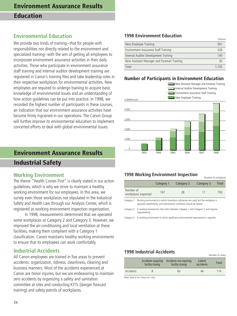## **Environmental Education**

We provide two kinds of training–that for people with responsibilities not directly related to the environment and specialized training–with the aim of getting all employees to incorporate environment assurance activities in their daily activities. Those who participate in environment assurance staff training and internal auditor development training are registered in Canon's training files and take leadership roles in their respective workplaces for environmental activities. New employees are required to undergo training to acquire basic knowledge of environmental issues and an understanding of how action guidelines can be put into practice. In 1998, we recorded the highest number of participants in these courses, an indication that our environment assurance activities have become firmly ingrained in our operations. The Canon Group will further improve its environmental education to implement concerted efforts to deal with global environmental issues.

# **Environment Assurance Results Industrial Safety**

#### **Working Environment**

The theme "Health Comes First" is clearly stated in our action guidelines, which is why we strive to maintain a healthy working environment for our employees. In this area, we survey even those workplaces not stipulated in the Industrial Safety and Health Law through our Analysis Center, which is registered as working environment inspection organization.

In 1998, measurements determined that we operated some workplaces at Category 2 and Category 3. However, we improved the air-conditioning and local ventilation at these facilities, making them compliant with a Category 1 classification. Canon maintains healthy working environments to ensure that its employees can work comfortably.

#### **Industrial Accidents**

All Canon employees are trained in five areas to prevent accidents: organization, tidiness, cleanliness, cleaning and business manners. Most of the accidents experienced at Canon are minor injuries, but we are endeavoring to maintain zero accidents by organizing a safety and sanitation committee at sites and conducting KYTs (danger forecast training) and safety patrols of workplaces.

#### **1998 Environment Education**

|                                            | 1.013011 |
|--------------------------------------------|----------|
| New Employee Training                      | 591      |
| Environment Assurance Staff Training       | 326      |
| Internal Auditor Development Training      | 140      |
| New Assistant Manager and Foreman Training | 45       |
| Total                                      | 1.102    |

(Person)

#### **Number of Participants in Environment Education**



#### **1998 Working Environment Inspection**

|                                   |            |            |            | (INDITIDEL OF MOTRDIACE) |
|-----------------------------------|------------|------------|------------|--------------------------|
|                                   | Category 1 | Category 2 | Category 3 | Total                    |
| Number of<br>workplaces inspected | 747        | 28         |            | 792                      |
|                                   |            |            | .          |                          |

Category 1: Working environments in which hazardous substances are used, but the workplace is operated satisfactorily, and maintenance conditions should be upheld.

Category 2: A working environment that ranks between Category 1 and Category 3, and requires improvements.

Category 3: A working environment in which significant environmental improvement is required.

#### **1998 Industrial Accidents**

|           | Accidents requiring<br>facility closing | Accidents not requiring<br>facility closing | Latent<br>accidents | Total |
|-----------|-----------------------------------------|---------------------------------------------|---------------------|-------|
| Accidents |                                         | 60                                          | 46                  | 114   |

(Number of cases)

Note: Data is for Canon Inc. only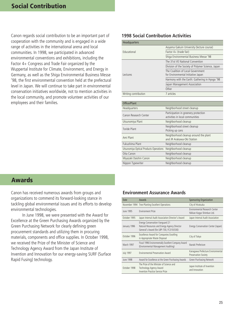Canon regards social contribution to be an important part of cooperation with the community and is engaged in a wide range of activities in the international arena and local communities. In 1998, we participated in advanced environmental conventions and exhibitions, including the Factor 4+ Congress and Trade Fair organized by the Wuppertal Institute for Climate, Environment, and Energy in Germany, as well as the Shiga Environmental Business Messe '98, the first environmental convention held at the prefectural level in Japan. We will continue to take part in environmental conservation initiatives worldwide, not to mention activities in the local community, and promote volunteer activities of our employees and their families.

#### **1998 Social Contribution Activities**

| <b>Headquarters</b>  |                                                                         |
|----------------------|-------------------------------------------------------------------------|
|                      | Aoyama Gakuin University (lecture course)                               |
| <b>Educational</b>   | Factor 4+ (trade fair)                                                  |
|                      | Shiga Environmental Business Messe '98                                  |
|                      | The 31st VE National Convention                                         |
|                      | Division of the Society of Polymer Science, Japan                       |
| Lectures             | The Coalition of Local Government<br>for Environmental Initiative Japan |
|                      | Harmony with the Earth: Gathering in Hyogo '98                          |
|                      | Japan Management Association                                            |
|                      | Other                                                                   |
| Writing contribution | 7 articles                                                              |

| Office/Plant                           |                                                                         |
|----------------------------------------|-------------------------------------------------------------------------|
| Headquarters                           | Neighborhood street cleanup                                             |
| Canon Research Center                  | Participation in greenery protection<br>activities in local communities |
| Utsunomiya Plant                       | Neighborhood cleanup                                                    |
| Toride Plant                           | Neighborhood street cleanup<br>Picking up cans                          |
| Ami Plant                              | Neighborhood cleanup around the plant<br>and JR Arakawa-Oki Station     |
| Fukushima Plant                        | Neighborhood cleanup                                                    |
| Utsunomiya Optical Products Operations | Neighborhood cleanup                                                    |
| Oita Canon                             | Neighborhood cleanup                                                    |
| Miyazaki Daishin Canon                 | Neighborhood cleanup                                                    |
| Nippon Typewriter                      | Neighborhood cleanup                                                    |

## **Awards**

Canon has received numerous awards from groups and organizations to commend its forward-looking stance in tackling global environmental issues and its efforts to develop environmental technologies.

In June 1998, we were presented with the Award for Excellence at the Green Purchasing Awards organized by the Green Purchasing Network for clearly defining green procurement standards and utilizing them in procuring materials, components and office supplies. In October 1998, we received the Prize of the Minister of Science and Technology Agency Award from the Japan Institute of Invention and Innovation for our energy-saving SURF (Surface Rapid Fusing) technology.

#### **Environment Assurance Awards**

| Date             | Awards                                                                                                                      | <b>Sponsoring Organization</b>                                   |
|------------------|-----------------------------------------------------------------------------------------------------------------------------|------------------------------------------------------------------|
|                  | November 1994 Tree-Planting Excellent Operations                                                                            | City of Hiratsuka                                                |
| June 1995        | <b>Environment Prize</b>                                                                                                    | Environmental Research Center<br>Nikkan Kogyo Shimbun Ltd.       |
| October 1995     | Japan Internal Audit Association Director's Award                                                                           | Japan Internal Audit Association                                 |
| January 1996     | Energy Conservation Vanguard 21<br>Natural Resources and Energy Agency Director<br>General's Award (for LBP-730, FC310/330) | Energy Conservation Center (Japan)                               |
| October 1996     | Excellence Award for Companies Excelling<br>in Appropriate Waste Disposal                                                   | City of Tokyo                                                    |
| March 1997       | Fiscal 1996 Environmentally Excellent Company Award<br>(Environmental Management Auditing)                                  | Ibaraki Prefecture                                               |
| <b>July 1997</b> | Environmental Preservation Award                                                                                            | Kanagawa Prefecture Environmental<br><b>Preservation Society</b> |
| June 1998        | Award for Excellence at the Green Purchasing Awards                                                                         | Green Purchasing Network                                         |
| October 1998     | The Prize of the Minister of Science and<br>Technology Agency Award<br>Invention Practice Service Prize                     | Japan Institute of Invention<br>and Innovation                   |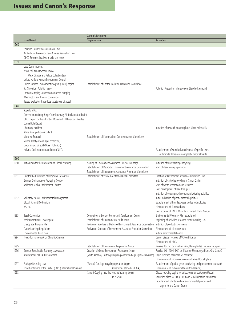|              |                                                                                                 | Canon's Response                                                                                   |                                                                                                                                              |
|--------------|-------------------------------------------------------------------------------------------------|----------------------------------------------------------------------------------------------------|----------------------------------------------------------------------------------------------------------------------------------------------|
|              | Issue/Trend                                                                                     | Organization                                                                                       | <b>Activities</b>                                                                                                                            |
| 1960         |                                                                                                 |                                                                                                    |                                                                                                                                              |
|              | Pollution Countermeasures Basic Law                                                             |                                                                                                    |                                                                                                                                              |
|              | Air Pollution Prevention Law & Noise Regulation Law<br>OECD Becomes involved in acid rain issue |                                                                                                    |                                                                                                                                              |
| 1970         |                                                                                                 |                                                                                                    |                                                                                                                                              |
|              | Love Canal Incident                                                                             |                                                                                                    |                                                                                                                                              |
|              | Water Pollution Prevention Law &                                                                |                                                                                                    |                                                                                                                                              |
|              | Waste Disposal and Refuge Collection Law                                                        |                                                                                                    |                                                                                                                                              |
|              | United Nations Human Environment Council                                                        |                                                                                                    |                                                                                                                                              |
|              | United Nations Environment Program (UNEP) begins                                                | Establishment of Central Pollution Prevention Committee                                            |                                                                                                                                              |
|              | Six Chromium Pollution Issue                                                                    |                                                                                                    | Pollution Prevention Management Standards enacted                                                                                            |
|              | London Dumping Convention on ocean dumping                                                      |                                                                                                    |                                                                                                                                              |
|              | Washington and Ramsar conventions                                                               |                                                                                                    |                                                                                                                                              |
|              | Seveso explosion (hazardous substances disposal)                                                |                                                                                                    |                                                                                                                                              |
| 1980         |                                                                                                 |                                                                                                    |                                                                                                                                              |
|              | Superfund Act                                                                                   |                                                                                                    |                                                                                                                                              |
|              | Convention on Long-Range Transboundary Air Pollution (acid rain)                                |                                                                                                    |                                                                                                                                              |
|              | OECD Report on Transfrontier Movement of Hazardous Wastes                                       |                                                                                                    |                                                                                                                                              |
|              | Ozone Hole Report<br>Chernobyl accident                                                         |                                                                                                    | Initiation of research on amorphous silicon solar cells                                                                                      |
|              | Rhine River pollution incident                                                                  |                                                                                                    |                                                                                                                                              |
|              | Montreal Protocol                                                                               | Establishment of Fluorocarbon Countermeasure Committee                                             |                                                                                                                                              |
|              | Vienna Treaty (ozone layer protection)                                                          |                                                                                                    |                                                                                                                                              |
|              | Exxon Valdez oil spill (Ocean Pollution)                                                        |                                                                                                    |                                                                                                                                              |
|              | Helsinki Declaration on abolition of CFCs                                                       |                                                                                                    | Establishment of standards on disposal of specific types                                                                                     |
|              |                                                                                                 |                                                                                                    | of bromide flame-retardant plastic material waste                                                                                            |
| 1990         |                                                                                                 |                                                                                                    |                                                                                                                                              |
| 1990         | Action Plan for the Prevention of Global Warming                                                | Naming of Environment Assurance Director in Charge                                                 | Initiation of toner cartridge recycling                                                                                                      |
|              |                                                                                                 | Establishment of Dedicated Environment Assurance Organization                                      | Start of clean energy operations                                                                                                             |
|              |                                                                                                 | Establishment of Environment Assurance Promotion Committee                                         |                                                                                                                                              |
| 1991         | Law for the Promotion of Recyclable Resources                                                   | Establishment of Waste Countermeasures Committee                                                   | Creation of Environment Assurance Promotion Plan                                                                                             |
|              | German Ordinance on Packaging Control                                                           |                                                                                                    | Initiation of cartridge recycling at Canon Dalian                                                                                            |
|              | Keidanren Global Environment Charter                                                            |                                                                                                    | Start of waste separation and recovery<br>Joint development of lead-free glass                                                               |
|              |                                                                                                 |                                                                                                    | Initiation of copying machine remanufacturing activities                                                                                     |
| 1992         | Voluntary Plan of Environmental Management                                                      |                                                                                                    | Initial indication of plastic material qualities                                                                                             |
|              | Global Summit Rio Publicity                                                                     |                                                                                                    | Establishment of harmless glass sludge technologies                                                                                          |
|              | BS7750                                                                                          |                                                                                                    | Eliminate use of fluorocarbons                                                                                                               |
|              |                                                                                                 |                                                                                                    | Joint sponsor of UNEP World Environment Photo Contest                                                                                        |
| 1993         | <b>Basel Convention</b>                                                                         | Completion of Ecology Research & Development Center                                                | Environmental Voluntary Plan established                                                                                                     |
|              | Basic Environment Law (Japan)                                                                   | Establishment of Environmental Audit Room                                                          | Beginning of activities at Canon Manufacturing U.K.                                                                                          |
|              | Energy Star Program Plan                                                                        | Revision of Structure of Dedicated Environment Assurance Organization                              | Initiation of product assessments                                                                                                            |
|              | Ozone Labeling Regulations                                                                      | Revision of Structure of Environment Assurance Promotion Committee                                 | Eliminate use of trichloroethane                                                                                                             |
|              | Environmental Basic Plan                                                                        |                                                                                                    | Initiate environmental audits                                                                                                                |
| 1994         | Treaty for Framework on Climatic Change                                                         |                                                                                                    | Canon Giessen receives EMAS certification                                                                                                    |
|              |                                                                                                 |                                                                                                    | Eliminate use of HFCs                                                                                                                        |
| 1995<br>1996 | German Sustainable Economy Law (waste)                                                          | Establishment of Environment Engineering Center<br>Creation of Global Environment Promotion System | Receive BS7750 certification (Ami, Ueno plants), first case in Japan<br>Receive ISO 14001 (DIS) certification (Utsunomiya Plant, Oita Canon) |
|              | International ISO 14001 Standards                                                               | (North America) Cartridge recycling operation begins (IRT established)                             | Begin recycling of Bubble Jet cartridges                                                                                                     |
|              |                                                                                                 |                                                                                                    | Eliminate use of trichloroethylene and tetrachloroethylene                                                                                   |
| 1997         | Package Recycling Law                                                                           | (Europe) Cartridge-recycling operation begins                                                      | Establishment of global green purchasing and procurement standards                                                                           |
|              | Third Conference of the Parties (COP3) International Summit                                     | (Operations started as CBSA)                                                                       | Eliminate use of dichloromethane (for cleaning)                                                                                              |
| 1998         |                                                                                                 | (Japan) Copying machine remanufacturing begins                                                     | Closed recycling begins for polystyrene for packaging (Japan)                                                                                |
|              |                                                                                                 | (NP6250)                                                                                           | Reduction plans for PFCs, HFCs and SF6 elimination established                                                                               |
|              |                                                                                                 |                                                                                                    | Establishment of intermediate environmental policies and                                                                                     |
|              |                                                                                                 |                                                                                                    | targets for the Canon Group                                                                                                                  |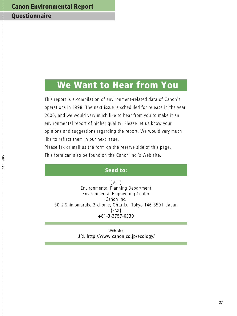# **Canon Environmental Report**

# **Questionnaire**

-<キリトリ線>

# **We Want to Hear from You**

This report is a compilation of environment-related data of Canon's operations in 1998. The next issue is scheduled for release in the year 2000, and we would very much like to hear from you to make it an environmental report of higher quality. Please let us know your opinions and suggestions regarding the report. We would very much like to reflect them in our next issue.

Please fax or mail us the form on the reserve side of this page. This form can also be found on the Canon Inc.'s Web site.

#### **Send to:**

Mail Environmental Planning Department Environmental Engineering Center Canon Inc. 30-2 Shimomaruko 3-chome, Ohta-ku, Tokyo 146-8501, Japan FAX +81-3-3757-6339

> Web site URL:http://www.canon.co.jp/ecology/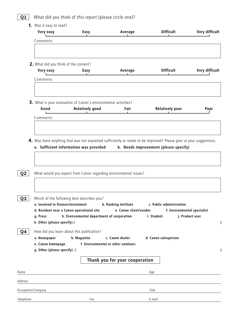# **Q1** What did you think of this report (please circle one)?

|                | Very easy                                                                                       | Easy                                                                                                                                  | Average                                               | <b>Difficult</b>                                                      | Very difficult  |
|----------------|-------------------------------------------------------------------------------------------------|---------------------------------------------------------------------------------------------------------------------------------------|-------------------------------------------------------|-----------------------------------------------------------------------|-----------------|
|                | Comments                                                                                        |                                                                                                                                       |                                                       |                                                                       |                 |
|                |                                                                                                 |                                                                                                                                       |                                                       |                                                                       |                 |
|                |                                                                                                 | 2. What did you think of the content?                                                                                                 |                                                       |                                                                       |                 |
|                | Very easy                                                                                       | Easy                                                                                                                                  | Average                                               | <b>Difficult</b>                                                      | Very difficult  |
|                | Comments                                                                                        |                                                                                                                                       |                                                       |                                                                       |                 |
|                |                                                                                                 | 3. What is your evaluation of Canon's environmental activities?                                                                       |                                                       |                                                                       |                 |
|                | Good                                                                                            | <b>Relatively good</b>                                                                                                                | Fair                                                  | <b>Relatively poor</b>                                                | Poor            |
|                | Comments                                                                                        |                                                                                                                                       |                                                       |                                                                       |                 |
|                |                                                                                                 |                                                                                                                                       |                                                       |                                                                       |                 |
|                |                                                                                                 | a. Sufficient information was provided                                                                                                |                                                       | b. Needs improvement (please specify)                                 |                 |
| Q2             |                                                                                                 | What would you expect from Canon regarding environmental issues?                                                                      |                                                       |                                                                       |                 |
| Q3<br>g. Press | a. Involved in finance/investment                                                               | Which of the following best describes you?<br>d. Resident near a Canon operational site<br>h. Environmental department of corporation | b. Ranking institute<br>e. Canon client/vendor        | c. Public administration<br>f. Environmental specialist<br>i. Student | j. Product user |
| Q4             | k. Other (please specify) (<br>a. Newspaper<br>e. Canon homepage<br>g. Other (please specify) ( | How did you learn about this publication?<br>b. Magazine                                                                              | c. Canon dealer<br>f. Environmental or other seminars | d. Canon salesperson                                                  |                 |
|                |                                                                                                 |                                                                                                                                       | Thank you for your cooperation                        |                                                                       |                 |
|                |                                                                                                 |                                                                                                                                       |                                                       | Age                                                                   |                 |
| Address        |                                                                                                 |                                                                                                                                       |                                                       |                                                                       |                 |